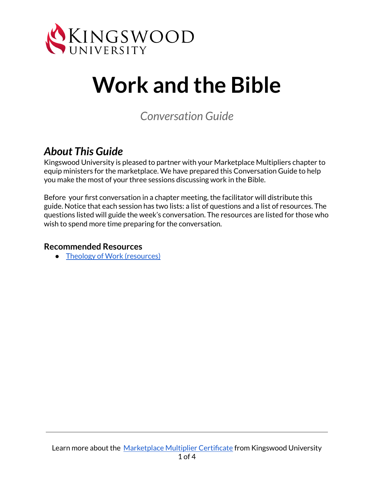

# **Work and the Bible**

*Conversation Guide*

#### *About This Guide*

Kingswood University is pleased to partner with your Marketplace Multipliers chapter to equip ministers for the marketplace. We have prepared this Conversation Guide to help you make the most of your three sessions discussing work in the Bible.

Before your first conversation in a chapter meeting, the facilitator will distribute this guide. Notice that each session has two lists: a list of questions and a list of resources. The questions listed will guide the week's conversation. The resources are listed for those who wish to spend more time preparing for the conversation.

#### **Recommended Resources**

● Theology of Work [\(resources\)](https://www.theologyofwork.org/)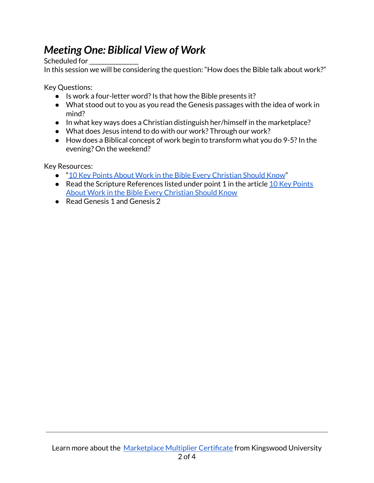## *Meeting One: Biblical View of Work*

Scheduled for

In this session we will be considering the question: "How does the Bible talk about work?"

Key Questions:

- Is work a four-letter word?Is that how the Bible presents it?
- What stood out to you as you read the Genesis passages with the idea of work in mind?
- In what key ways does a Christian distinguish her/himself in the marketplace?
- What does Jesus intend to do with our work? Through our work?
- How does a Biblical concept of work begin to transform what you do 9-5? In the evening? On the weekend?

Key Resources:

- "10 Key Points About Work in the Bible Every [Christian](https://www.theologyofwork.org/resources/what-does-the-bible-say-about-work) Should Know"
- Read the Scripture References listed under point 1 in the article 10 Key [Points](https://www.theologyofwork.org/resources/what-does-the-bible-say-about-work) About Work in the Bible Every [Christian](https://www.theologyofwork.org/resources/what-does-the-bible-say-about-work) Should Know
- Read Genesis 1 and Genesis 2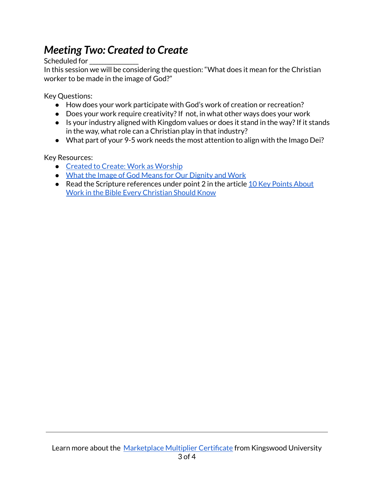### *Meeting Two: Created to Create*

Scheduled for

In this session we will be considering the question: "What does it mean for the Christian worker to be made in the image of God?"

Key Questions:

- How does your work participate with God's work of creation or recreation?
- Does your work require creativity? If not, in what other ways does your work
- Is your industry aligned with Kingdom values or does it stand in the way? If it stands in the way, what role can a Christian play in that industry?
- What part of your 9-5 work needs the most attention to align with the Imago Dei?

Key Resources:

- Created to Create: Work as [Worship](https://www.youtube.com/watch?v=vnvUSHXTo7g)
- What the Image of God Means for Our [Dignity](https://tifwe.org/what-the-image-of-god-means-for-our-dignity-and-work/) and Work
- Read the Scripture references under point 2 in the article 10 Key [Points](https://www.theologyofwork.org/resources/what-does-the-bible-say-about-work) About Work in the Bible Every [Christian](https://www.theologyofwork.org/resources/what-does-the-bible-say-about-work) Should Know